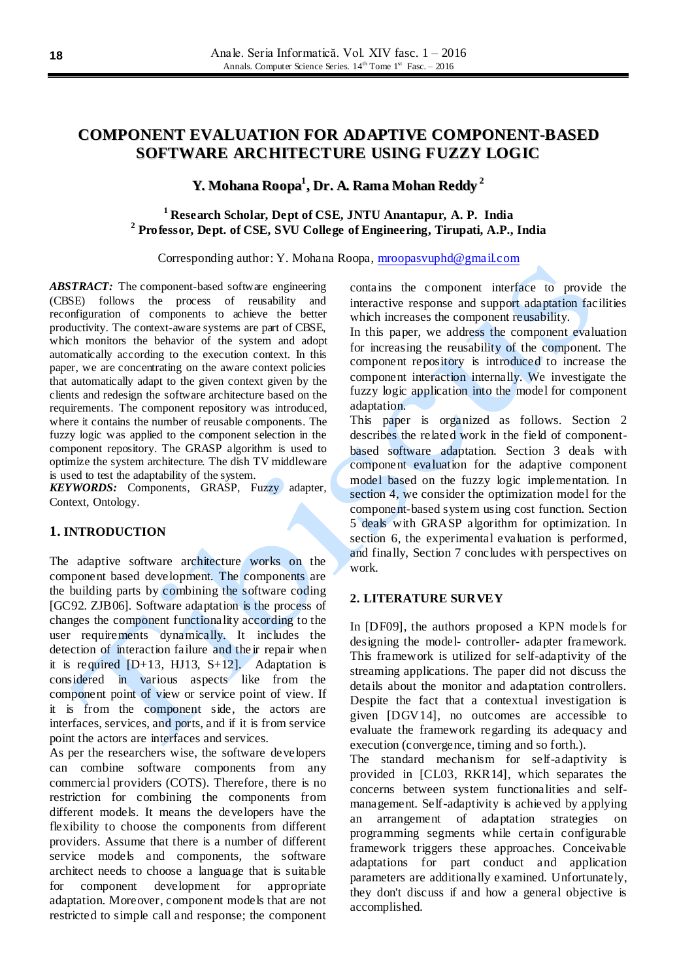# **COMPONENT EVALUATION FOR ADAPTIVE COMPONENT-BASED SOFTWARE ARCHITECTURE USING FUZZY LOGIC**

# **Y. Mohana Roopa 1 , Dr. A. Rama Mohan Reddy 2**

## **<sup>1</sup> Research Scholar, Dept of CSE, JNTU Anantapur, A. P. India 2 Professor, Dept. of CSE, SVU College of Engineering, Tirupati, A.P., India**

Corresponding author: Y. Mohana Roopa[, mroopasvuphd@gmail.com](mailto:mroopasvuphd@gmail.com)

ABSTRACT: The component-based software engineering (CBSE) follows the process of reusability and reconfiguration of components to achieve the better productivity. The context-aware systems are part of CBSE, which monitors the behavior of the system and adopt automatically according to the execution context. In this paper, we are concentrating on the aware context policies that automatically adapt to the given context given by the clients and redesign the software architecture based on the requirements. The component repository was introduced, where it contains the number of reusable components. The fuzzy logic was applied to the component selection in the component repository. The GRASP algorithm is used to optimize the system architecture. The dish TV middleware is used to test the adaptability of the system.

*KEYWORDS:* Components, GRASP, Fuzzy adapter, Context, Ontology.

### **1. INTRODUCTION**

The adaptive software architecture works on the component based development. The components are the building parts by combining the software coding [GC92. ZJB06]. Software adaptation is the process of changes the component functionality according to the user requirements dynamically. It includes the detection of interaction failure and the ir repair when it is required  $[D+13, HJ13, S+12]$ . Adaptation is considered in various aspects like from the component point of view or service point of view. If it is from the component side, the actors are interfaces, services, and ports, and if it is from service point the actors are interfaces and services.

As per the researchers wise, the software developers can combine software components from any commercial providers (COTS). Therefore, there is no restriction for combining the components from different models. It means the developers have the flexibility to choose the components from different providers. Assume that there is a number of different service models and components, the software architect needs to choose a language that is suitable for component development for appropriate adaptation. Moreover, component models that are not restricted to simple call and response; the component contains the component interface to provide the interactive response and support adaptation facilities which increases the component reusability.

In this paper, we address the component evaluation for increasing the reusability of the component. The component repository is introduced to increase the component interaction internally. We investigate the fuzzy logic application into the model for component adaptation.

This paper is organized as follows. Section 2 describes the related work in the field of componentbased software adaptation. Section 3 deals with component evaluation for the adaptive component model based on the fuzzy logic implementation. In section 4, we consider the optimization model for the component-based system using cost function. Section 5 deals with GRASP algorithm for optimization. In section 6, the experimental evaluation is performed, and finally, Section 7 concludes with perspectives on work.

#### **2. LITERATURE SURVEY**

In [DF09], the authors proposed a KPN models for designing the model- controller- adapter framework. This framework is utilized for self-adaptivity of the streaming applications. The paper did not discuss the details about the monitor and adaptation controllers. Despite the fact that a contextual investigation is given [DGV14], no outcomes are accessible to evaluate the framework regarding its adequacy and execution (convergence, timing and so forth.).

The standard mechanism for self-adaptivity is provided in [CL03, RKR14], which separates the concerns between system functionalities and selfmanagement. Self-adaptivity is achieved by applying an arrangement of adaptation strategies on programming segments while certain configurable framework triggers these approaches. Conceivable adaptations for part conduct and application parameters are additionally examined. Unfortunately, they don't discuss if and how a general objective is accomplished.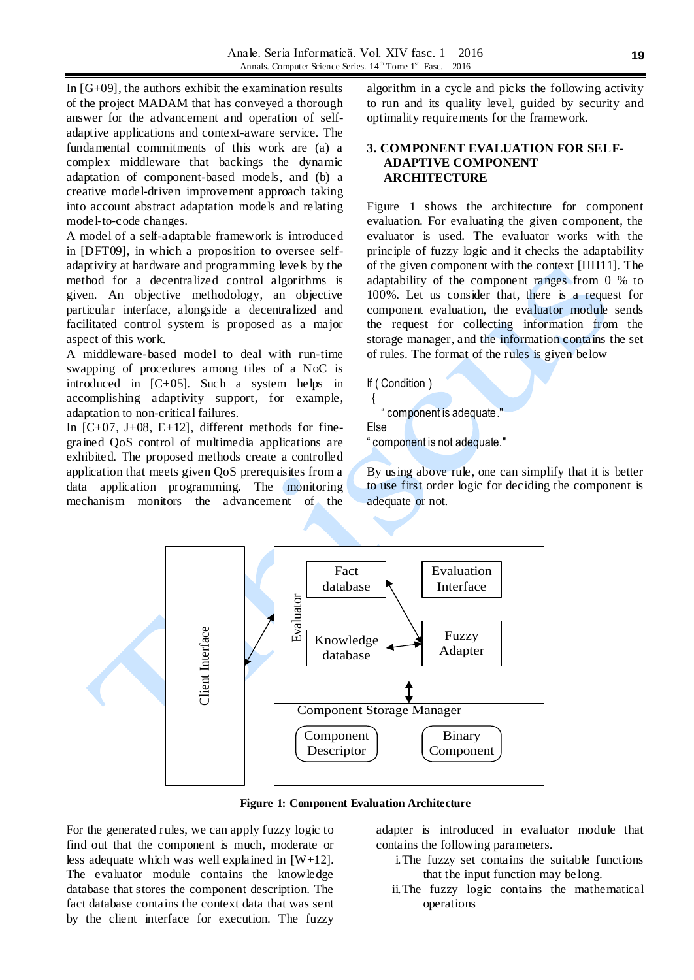In  $[G+09]$ , the authors exhibit the examination results of the project MADAM that has conveyed a thorough answer for the advancement and operation of selfadaptive applications and context-aware service. The fundamental commitments of this work are (a) a complex middleware that backings the dynamic adaptation of component-based models, and (b) a creative model-driven improvement approach taking into account abstract adaptation models and relating model-to-code changes.

A model of a self-adaptable framework is introduced in [DFT09], in which a proposition to oversee selfadaptivity at hardware and programming levels by the method for a decentralized control algorithms is given. An objective methodology, an objective particular interface, alongside a decentralized and facilitated control system is proposed as a major aspect of this work.

A middleware-based model to deal with run-time swapping of procedures among tiles of a NoC is introduced in [C+05]. Such a system helps in accomplishing adaptivity support, for example, adaptation to non-critical failures.

In  $[C+07, J+08, E+12]$ , different methods for finegrained QoS control of multimedia applications are exhibited. The proposed methods create a controlled application that meets given QoS prerequisites from a data application programming. The monitoring mechanism monitors the advancement of the

algorithm in a cycle and picks the following activity to run and its quality level, guided by security and optimality requirements for the framework.

### **3. COMPONENT EVALUATION FOR SELF-ADAPTIVE COMPONENT ARCHITECTURE**

Figure 1 shows the architecture for component evaluation. For evaluating the given component, the evaluator is used. The evaluator works with the principle of fuzzy logic and it checks the adaptability of the given component with the context [HH11]. The adaptability of the component ranges from 0 % to 100%. Let us consider that, there is a request for component evaluation, the evaluator module sends the request for collecting information from the storage manager, and the information contains the set of rules. The format of the rules is given below

If ( Condition )

 { " component is adequate."

Else

" component is not adequate."

By using above rule, one can simplify that it is better to use first order logic for deciding the component is adequate or not.



**Figure 1: Component Evaluation Architecture**

For the generated rules, we can apply fuzzy logic to find out that the component is much, moderate or less adequate which was well explained in [W+12]. The evaluator module contains the knowledge database that stores the component description. The fact database contains the context data that was sent by the client interface for execution. The fuzzy

adapter is introduced in evaluator module that contains the following parameters.

- i.The fuzzy set contains the suitable functions that the input function may be long.
- ii.The fuzzy logic contains the mathematical operations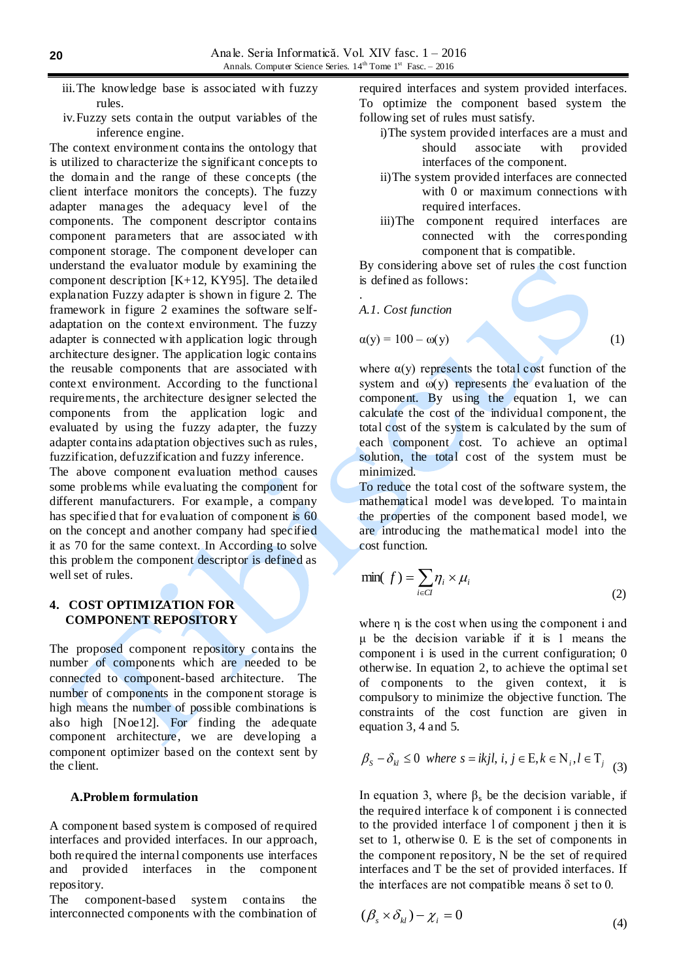- iii.The knowledge base is associated with fuzzy rules.
- iv.Fuzzy sets contain the output variables of the inference engine.

The context environment contains the ontology that is utilized to characterize the significant concepts to the domain and the range of these concepts (the client interface monitors the concepts). The fuzzy adapter manages the adequacy level of the components. The component descriptor contains component parameters that are associated with component storage. The component developer can understand the evaluator module by examining the component description  $[K+12, KY95]$ . The detailed explanation Fuzzy adapter is shown in figure 2. The framework in figure 2 examines the software selfadaptation on the context environment. The fuzzy adapter is connected with application logic through architecture designer. The application logic contains the reusable components that are associated with context environment. According to the functional requirements, the architecture designer selected the components from the application logic and evaluated by using the fuzzy adapter, the fuzzy adapter contains adaptation objectives such as rules, fuzzification, defuzzification and fuzzy inference.

The above component evaluation method causes some problems while evaluating the component for different manufacturers. For example, a company has specified that for evaluation of component is 60 on the concept and another company had specified it as 70 for the same context. In According to solve this problem the component descriptor is defined as well set of rules.

### **4. COST OPTIMIZATION FOR COMPONENT REPOSITORY**

The proposed component repository contains the number of components which are needed to be connected to component-based architecture. The number of components in the component storage is high means the number of possible combinations is also high [Noe12]. For finding the adequate component architecture, we are developing a component optimizer based on the context sent by the client.

#### **A.Problem formulation**

A component based system is composed of required interfaces and provided interfaces. In our approach, both required the internal components use interfaces and provided interfaces in the component repository.

The component-based system contains the interconnected components with the combination of required interfaces and system provided interfaces. To optimize the component based system the following set of rules must satisfy.

- i)The system provided interfaces are a must and should associate with provided interfaces of the component.
- ii)The system provided interfaces are connected with 0 or maximum connections with required interfaces.
- iii)The component required interfaces are connected with the corresponding component that is compatible.

By considering above set of rules the cost function is defined as follows:

*A.1. Cost function*

.

$$
\alpha(y) = 100 - \omega(y) \tag{1}
$$

where  $\alpha(y)$  represents the total cost function of the system and  $\omega(y)$  represents the evaluation of the component. By using the equation 1, we can calculate the cost of the individual component, the total cost of the system is calculated by the sum of each component cost. To achieve an optimal solution, the total cost of the system must be minimized.

To reduce the total cost of the software system, the mathematical model was developed. To maintain the properties of the component based model, we are introducing the mathematical model into the cost function.

$$
\min(f) = \sum_{i \in Cl} \eta_i \times \mu_i \tag{2}
$$

where η is the cost when using the component i and μ be the decision variable if it is 1 means the component i is used in the current configuration; 0 otherwise. In equation 2, to achieve the optimal set of components to the given context, it is compulsory to minimize the objective function. The constraints of the cost function are given in equation 3, 4 and 5.

$$
\beta_s - \delta_{kl} \le 0 \text{ where } s = i k j l, i, j \in E, k \in N_i, l \in T_j \tag{3}
$$

In equation 3, where  $β_s$  be the decision variable, if the required interface k of component i is connected to the provided interface l of component j then it is set to 1, otherwise 0. E is the set of components in the component repository, N be the set of required interfaces and T be the set of provided interfaces. If the interfaces are not compatible means  $\delta$  set to 0.

$$
(\beta_s \times \delta_{kl}) - \chi_i = 0 \tag{4}
$$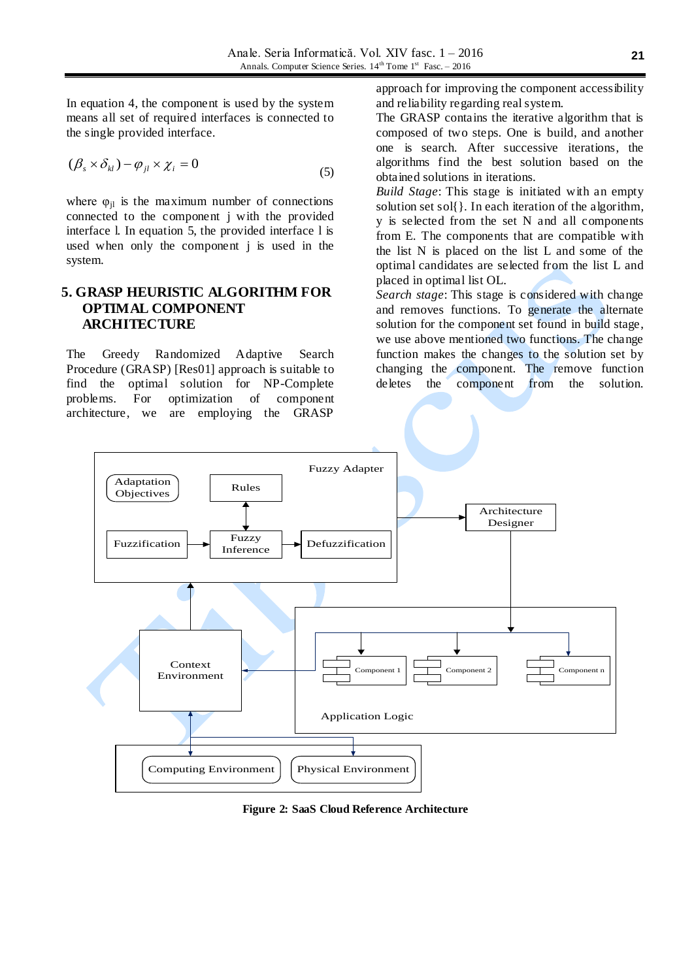In equation 4, the component is used by the system means all set of required interfaces is connected to the single provided interface.

$$
(\beta_s \times \delta_{kl}) - \varphi_{jl} \times \chi_i = 0 \tag{5}
$$

where  $\varphi_{il}$  is the maximum number of connections connected to the component j with the provided interface l. In equation 5, the provided interface l is used when only the component j is used in the system.

## **5. GRASP HEURISTIC ALGORITHM FOR OPTIMAL COMPONENT ARCHITECTURE**

The Greedy Randomized Adaptive Search Procedure (GRASP) [Res01] approach is suitable to find the optimal solution for NP-Complete problems. For optimization of component architecture, we are employing the GRASP

approach for improving the component accessibility and reliability regarding real system.

The GRASP contains the iterative algorithm that is composed of two steps. One is build, and another one is search. After successive iterations, the algorithms find the best solution based on the obtained solutions in iterations.

*Build Stage*: This stage is initiated with an empty solution set sol{}. In each iteration of the algorithm, y is selected from the set N and all components from E. The components that are compatible with the list N is placed on the list L and some of the optimal candidates are selected from the list L and placed in optimal list OL.

*Search stage*: This stage is considered with change and removes functions. To generate the alternate solution for the component set found in build stage, we use above mentioned two functions. The change function makes the changes to the solution set by changing the component. The remove function deletes the component from the solution.



**Figure 2: SaaS Cloud Reference Architecture**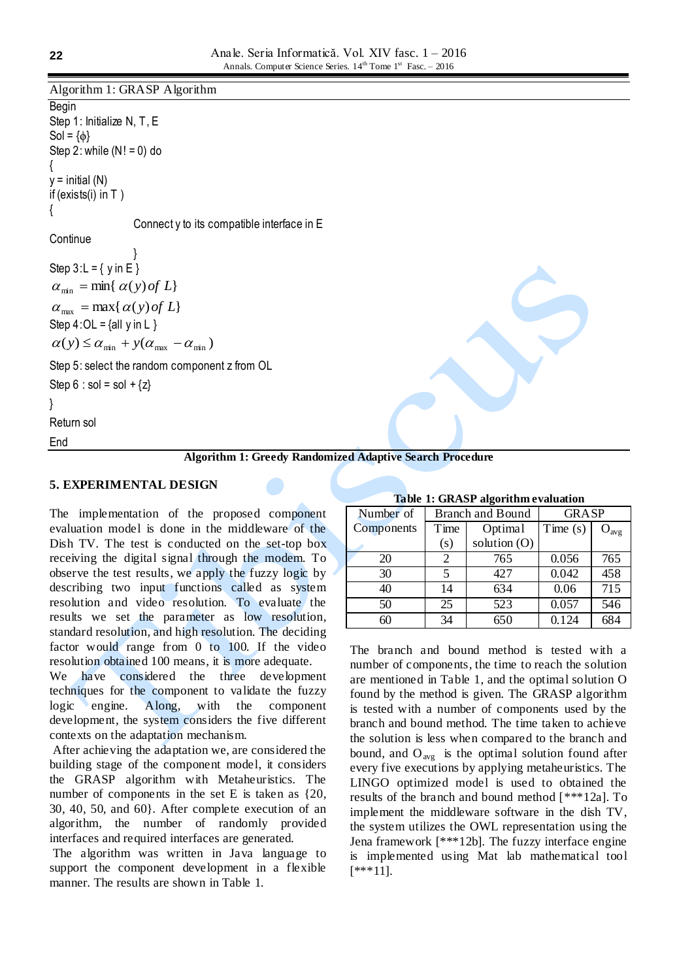Algorithm 1: GRASP Algorithm

Begin Step 1: Initialize N, T, E  $Sol = \{\phi\}$ Step 2: while  $(N! = 0)$  do {  $y = initial(N)$ if (exists(i) in T ) { Connect y to its compatible interface in E **Continue** } Step  $3: L = \{ y \in E \}$  $\alpha_{\text{max}} = \max\{\alpha(y) \text{ of } L\}$  $\alpha_{\min} = \min\{\alpha(y) \text{ of } L\}$ Step  $4:OL = \{all y in L\}$  $\alpha(y) \leq \alpha_{\min} + y(\alpha_{\max} - \alpha_{\min})$ Step 5: select the random component z from OL Step  $6 : sol = sol + \{z\}$ } Return sol End

# **Algorithm 1: Greedy Randomized Adaptive Search Procedure**

#### **5. EXPERIMENTAL DESIGN**

The implementation of the proposed component evaluation model is done in the middleware of the Dish TV. The test is conducted on the set-top box receiving the digital signal through the modem. To observe the test results, we apply the fuzzy logic by describing two input functions called as system resolution and video resolution. To evaluate the results we set the parameter as low resolution, standard resolution, and high resolution. The deciding factor would range from 0 to 100. If the video resolution obtained 100 means, it is more adequate.

We have considered the three development techniques for the component to validate the fuzzy logic engine. Along, with the component development, the system considers the five different contexts on the adaptation mechanism.

After achieving the adaptation we, are considered the building stage of the component model, it considers the GRASP algorithm with Metaheuristics. The number of components in the set E is taken as {20, 30, 40, 50, and 60}. After complete execution of an algorithm, the number of randomly provided interfaces and required interfaces are generated.

The algorithm was written in Java language to support the component development in a flexible manner. The results are shown in Table 1.

| $\cdots$   |                  |              |              |           |
|------------|------------------|--------------|--------------|-----------|
| Number of  | Branch and Bound |              | <b>GRASP</b> |           |
| Components | Time             | Optimal      | Time $(s)$   | $O_{avg}$ |
|            | (s)              | solution (O) |              |           |
| 20         | 2                | 765          | 0.056        | 765       |
| 30         | 5                | 427          | 0.042        | 458       |
| 40         | 14               | 634          | 0.06         | 715       |
| 50         | 25               | 523          | 0.057        | 546       |
| 60         | 34               | 650          | 0.124        | 684       |

#### **Table 1: GRASP algorithm evaluation**

The branch and bound method is tested with a number of components, the time to reach the solution are mentioned in Table 1, and the optimal solution O found by the method is given. The GRASP algorithm is tested with a number of components used by the branch and bound method. The time taken to achieve the solution is less when compared to the branch and bound, and  $O_{avg}$  is the optimal solution found after every five executions by applying metaheuristics. The LINGO optimized model is used to obtained the results of the branch and bound method [\*\*\*12a]. To implement the middleware software in the dish TV, the system utilizes the OWL representation using the Jena framework [\*\*\*12b]. The fuzzy interface engine is implemented using Mat lab mathematical tool [\*\*\*11].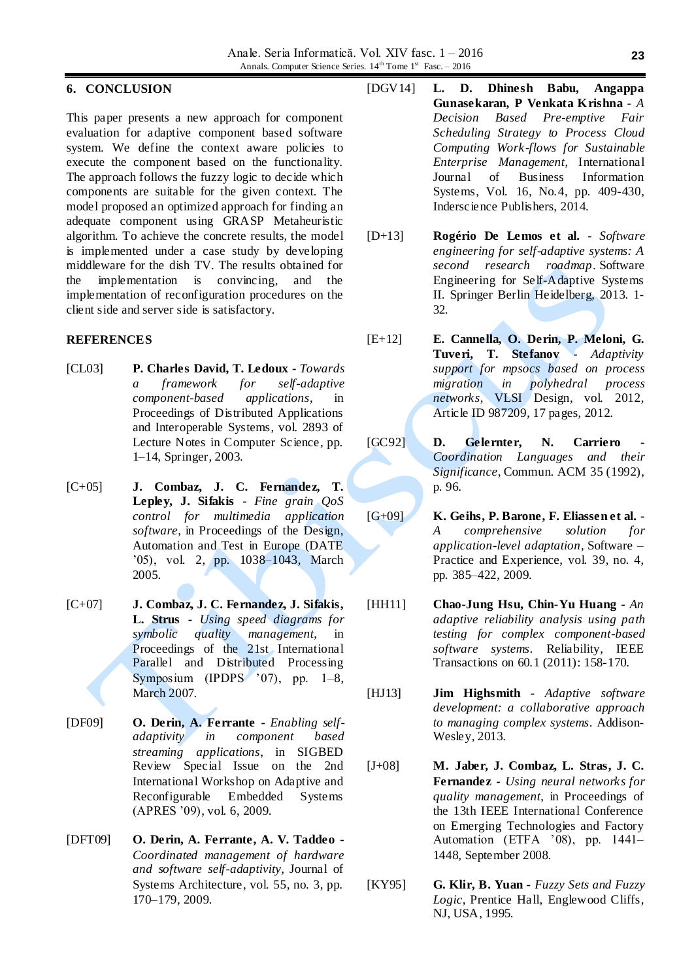#### **6. CONCLUSION**

This paper presents a new approach for component evaluation for adaptive component based software system. We define the context aware policies to execute the component based on the functionality. The approach follows the fuzzy logic to decide which components are suitable for the given context. The model proposed an optimized approach for finding an adequate component using GRASP Metaheuristic algorithm. To achieve the concrete results, the model is implemented under a case study by developing middleware for the dish TV. The results obtained for the implementation is convincing, and the implementation of reconfiguration procedures on the client side and server side is satisfactory.

#### **REFERENCES**

- [CL03] **P. Charles David, T. Ledoux -** *Towards a framework for self-adaptive component-based applications*, in Proceedings of Distributed Applications and Interoperable Systems, vol. 2893 of Lecture Notes in Computer Science, pp. 1–14, Springer, 2003.
- [C+05] **J. Combaz, J. C. Fernandez, T. Lepley, J. Sifakis -** *Fine grain QoS control for multimedia application software*, in Proceedings of the Design, Automation and Test in Europe (DATE '05), vol. 2, pp. 1038–1043, March 2005.
- [C+07] **J. Combaz, J. C. Fernandez, J. Sifakis, L. Strus -** *Using speed diagrams for symbolic quality management*, in Proceedings of the 21st International Parallel and Distributed Processing Symposium (IPDPS '07), pp. 1–8, March 2007.
- [DF09] **O. Derin, A. Ferrante -** *Enabling selfadaptivity in component based streaming applications*, in SIGBED Review Special Issue on the 2nd International Workshop on Adaptive and Reconfigurable Embedded Systems (APRES '09), vol. 6, 2009.
- [DFT09] **O. Derin, A. Ferrante, A. V. Taddeo -** *Coordinated management of hardware and software self-adaptivity*, Journal of Systems Architecture, vol. 55, no. 3, pp. 170–179, 2009.
- [DGV14] **L. D. Dhinesh Babu, Angappa Gunasekaran, P Venkata Krishna -** *A Decision Based Pre-emptive Fair Scheduling Strategy to Process Cloud Computing Work-flows for Sustainable Enterprise Management*, International Journal of Business Information Systems, Vol. 16, No.4, pp. 409-430, Inderscience Publishers, 2014.
- [D+13] **Rogério De Lemos et al. -** *Software engineering for self-adaptive systems: A second research roadmap*. Software Engineering for Self-Adaptive Systems II. Springer Berlin Heidelberg, 2013. 1- 32.
- [E+12] **E. Cannella, O. Derin, P. Meloni, G. Tuveri, T. Stefanov -** *Adaptivity support for mpsocs based on process migration in polyhedral process networks*, VLSI Design, vol. 2012, Article ID 987209, 17 pages, 2012.
- [GC92] **D. Gelernter, N. Carriero** *Coordination Languages and their Significance*, Commun. ACM 35 (1992), p. 96.
- [G+09] **K. Geihs, P. Barone, F. Eliassen et al. -** *A comprehensive solution for application-level adaptation*, Software – Practice and Experience, vol. 39, no. 4, pp. 385–422, 2009.
- [HH11] **Chao-Jung Hsu, Chin-Yu Huang -** *An adaptive reliability analysis using path testing for complex component-based software systems*. Reliability, IEEE Transactions on 60.1 (2011): 158-170.
- [HJ13] **Jim Highsmith -** *Adaptive software development: a collaborative approach to managing complex systems*. Addison-Wesley, 2013.
- [J+08] **M. Jaber, J. Combaz, L. Stras, J. C. Fernandez -** *Using neural networks for quality management*, in Proceedings of the 13th IEEE International Conference on Emerging Technologies and Factory Automation (ETFA '08), pp. 1441– 1448, September 2008.
- [KY95] **G. Klir, B. Yuan -** *Fuzzy Sets and Fuzzy Logic*, Prentice Hall, Englewood Cliffs, NJ, USA, 1995.